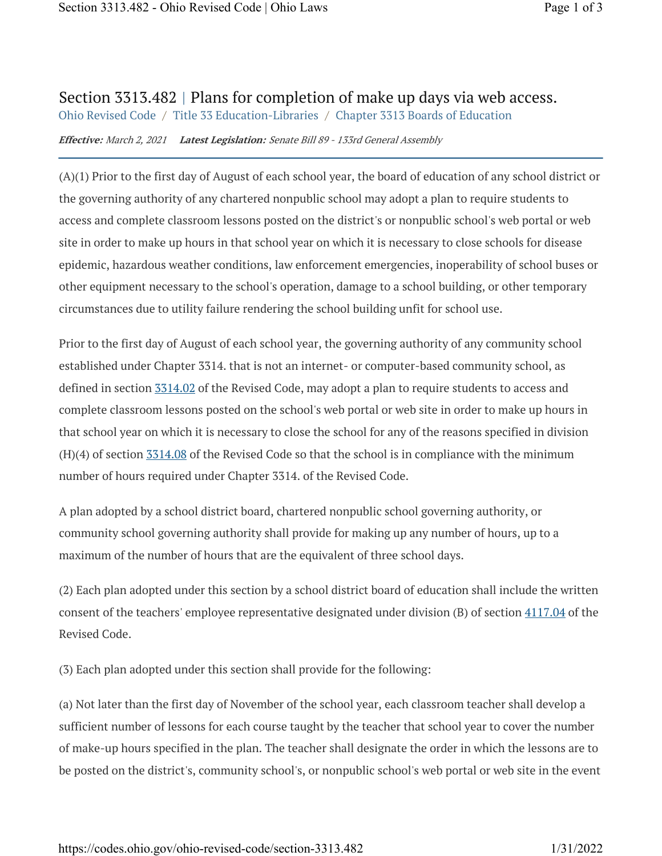## Section 3313.482 | Plans for completion of make up days via web access.

Ohio Revised Code / Title 33 Education-Libraries / Chapter 3313 Boards of Education

**Effective:** March 2, 2021 **Latest Legislation:** Senate Bill 89 - 133rd General Assembly

(A)(1) Prior to the first day of August of each school year, the board of education of any school district or the governing authority of any chartered nonpublic school may adopt a plan to require students to access and complete classroom lessons posted on the district's or nonpublic school's web portal or web site in order to make up hours in that school year on which it is necessary to close schools for disease epidemic, hazardous weather conditions, law enforcement emergencies, inoperability of school buses or other equipment necessary to the school's operation, damage to a school building, or other temporary circumstances due to utility failure rendering the school building unfit for school use.

Prior to the first day of August of each school year, the governing authority of any community school established under Chapter 3314. that is not an internet- or computer-based community school, as defined in section  $3314.02$  of the Revised Code, may adopt a plan to require students to access and complete classroom lessons posted on the school's web portal or web site in order to make up hours in that school year on which it is necessary to close the school for any of the reasons specified in division  $(H)(4)$  of section  $3314.08$  of the Revised Code so that the school is in compliance with the minimum number of hours required under Chapter 3314. of the Revised Code.

A plan adopted by a school district board, chartered nonpublic school governing authority, or community school governing authority shall provide for making up any number of hours, up to a maximum of the number of hours that are the equivalent of three school days.

(2) Each plan adopted under this section by a school district board of education shall include the written consent of the teachers' employee representative designated under division (B) of section  $4117.04$  of the Revised Code.

(3) Each plan adopted under this section shall provide for the following:

(a) Not later than the first day of November of the school year, each classroom teacher shall develop a sufficient number of lessons for each course taught by the teacher that school year to cover the number of make-up hours specified in the plan. The teacher shall designate the order in which the lessons are to be posted on the district's, community school's, or nonpublic school's web portal or web site in the event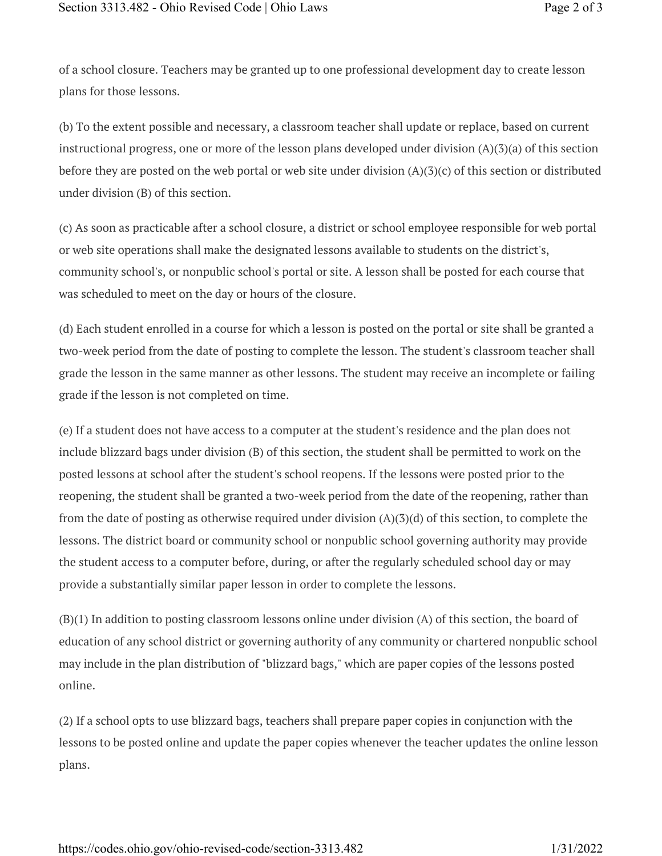of a school closure. Teachers may be granted up to one professional development day to create lesson plans for those lessons.

(b) To the extent possible and necessary, a classroom teacher shall update or replace, based on current instructional progress, one or more of the lesson plans developed under division (A)(3)(a) of this section before they are posted on the web portal or web site under division  $(A)(3)(c)$  of this section or distributed under division (B) of this section.

(c) As soon as practicable after a school closure, a district or school employee responsible for web portal or web site operations shall make the designated lessons available to students on the district's, community school's, or nonpublic school's portal or site. A lesson shall be posted for each course that was scheduled to meet on the day or hours of the closure.

(d) Each student enrolled in a course for which a lesson is posted on the portal or site shall be granted a two-week period from the date of posting to complete the lesson. The student's classroom teacher shall grade the lesson in the same manner as other lessons. The student may receive an incomplete or failing grade if the lesson is not completed on time.

(e) If a student does not have access to a computer at the student's residence and the plan does not include blizzard bags under division (B) of this section, the student shall be permitted to work on the posted lessons at school after the student's school reopens. If the lessons were posted prior to the reopening, the student shall be granted a two-week period from the date of the reopening, rather than from the date of posting as otherwise required under division  $(A)(3)(d)$  of this section, to complete the lessons. The district board or community school or nonpublic school governing authority may provide the student access to a computer before, during, or after the regularly scheduled school day or may provide a substantially similar paper lesson in order to complete the lessons.

(B)(1) In addition to posting classroom lessons online under division (A) of this section, the board of education of any school district or governing authority of any community or chartered nonpublic school may include in the plan distribution of "blizzard bags," which are paper copies of the lessons posted online.

(2) If a school opts to use blizzard bags, teachers shall prepare paper copies in conjunction with the lessons to be posted online and update the paper copies whenever the teacher updates the online lesson plans.